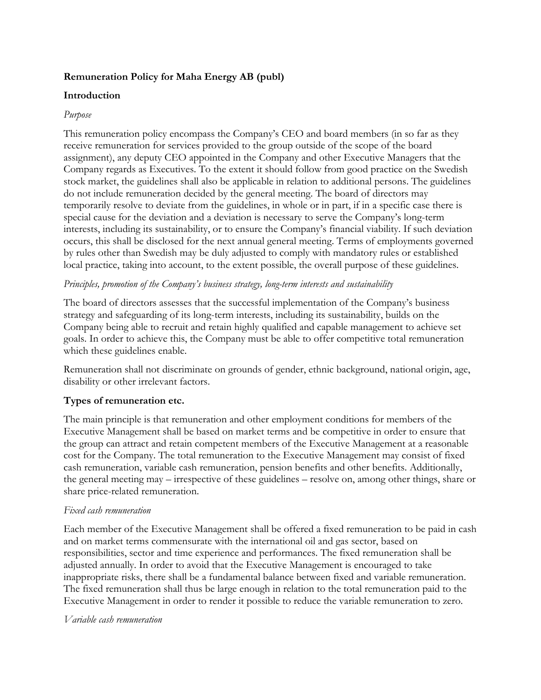## **Remuneration Policy for Maha Energy AB (publ)**

## **Introduction**

### *Purpose*

This remuneration policy encompass the Company's CEO and board members (in so far as they receive remuneration for services provided to the group outside of the scope of the board assignment), any deputy CEO appointed in the Company and other Executive Managers that the Company regards as Executives. To the extent it should follow from good practice on the Swedish stock market, the guidelines shall also be applicable in relation to additional persons. The guidelines do not include remuneration decided by the general meeting. The board of directors may temporarily resolve to deviate from the guidelines, in whole or in part, if in a specific case there is special cause for the deviation and a deviation is necessary to serve the Company's long-term interests, including its sustainability, or to ensure the Company's financial viability. If such deviation occurs, this shall be disclosed for the next annual general meeting. Terms of employments governed by rules other than Swedish may be duly adjusted to comply with mandatory rules or established local practice, taking into account, to the extent possible, the overall purpose of these guidelines.

### *Principles, promotion of the Company's business strategy, long-term interests and sustainability*

The board of directors assesses that the successful implementation of the Company's business strategy and safeguarding of its long-term interests, including its sustainability, builds on the Company being able to recruit and retain highly qualified and capable management to achieve set goals. In order to achieve this, the Company must be able to offer competitive total remuneration which these guidelines enable.

Remuneration shall not discriminate on grounds of gender, ethnic background, national origin, age, disability or other irrelevant factors.

## **Types of remuneration etc.**

The main principle is that remuneration and other employment conditions for members of the Executive Management shall be based on market terms and be competitive in order to ensure that the group can attract and retain competent members of the Executive Management at a reasonable cost for the Company. The total remuneration to the Executive Management may consist of fixed cash remuneration, variable cash remuneration, pension benefits and other benefits. Additionally, the general meeting may – irrespective of these guidelines – resolve on, among other things, share or share price-related remuneration.

#### *Fixed cash remuneration*

Each member of the Executive Management shall be offered a fixed remuneration to be paid in cash and on market terms commensurate with the international oil and gas sector, based on responsibilities, sector and time experience and performances. The fixed remuneration shall be adjusted annually. In order to avoid that the Executive Management is encouraged to take inappropriate risks, there shall be a fundamental balance between fixed and variable remuneration. The fixed remuneration shall thus be large enough in relation to the total remuneration paid to the Executive Management in order to render it possible to reduce the variable remuneration to zero.

#### *Variable cash remuneration*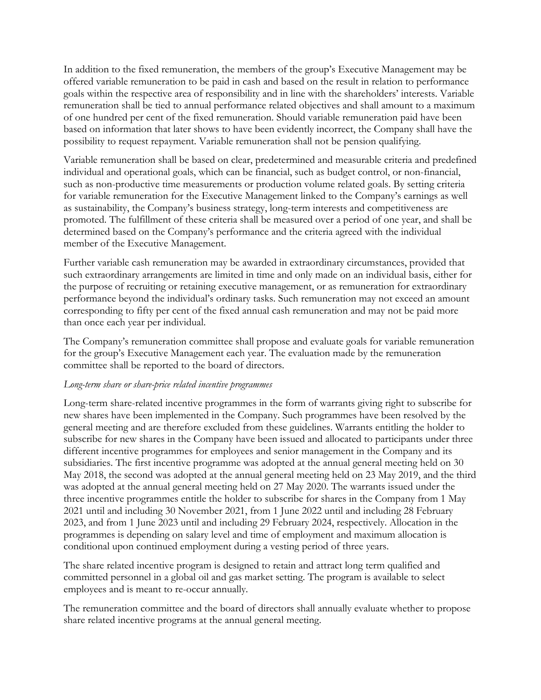In addition to the fixed remuneration, the members of the group's Executive Management may be offered variable remuneration to be paid in cash and based on the result in relation to performance goals within the respective area of responsibility and in line with the shareholders' interests. Variable remuneration shall be tied to annual performance related objectives and shall amount to a maximum of one hundred per cent of the fixed remuneration. Should variable remuneration paid have been based on information that later shows to have been evidently incorrect, the Company shall have the possibility to request repayment. Variable remuneration shall not be pension qualifying.

Variable remuneration shall be based on clear, predetermined and measurable criteria and predefined individual and operational goals, which can be financial, such as budget control, or non-financial, such as non-productive time measurements or production volume related goals. By setting criteria for variable remuneration for the Executive Management linked to the Company's earnings as well as sustainability, the Company's business strategy, long-term interests and competitiveness are promoted. The fulfillment of these criteria shall be measured over a period of one year, and shall be determined based on the Company's performance and the criteria agreed with the individual member of the Executive Management.

Further variable cash remuneration may be awarded in extraordinary circumstances, provided that such extraordinary arrangements are limited in time and only made on an individual basis, either for the purpose of recruiting or retaining executive management, or as remuneration for extraordinary performance beyond the individual's ordinary tasks. Such remuneration may not exceed an amount corresponding to fifty per cent of the fixed annual cash remuneration and may not be paid more than once each year per individual.

The Company's remuneration committee shall propose and evaluate goals for variable remuneration for the group's Executive Management each year. The evaluation made by the remuneration committee shall be reported to the board of directors.

#### *Long-term share or share-price related incentive programmes*

Long-term share-related incentive programmes in the form of warrants giving right to subscribe for new shares have been implemented in the Company. Such programmes have been resolved by the general meeting and are therefore excluded from these guidelines. Warrants entitling the holder to subscribe for new shares in the Company have been issued and allocated to participants under three different incentive programmes for employees and senior management in the Company and its subsidiaries. The first incentive programme was adopted at the annual general meeting held on 30 May 2018, the second was adopted at the annual general meeting held on 23 May 2019, and the third was adopted at the annual general meeting held on 27 May 2020. The warrants issued under the three incentive programmes entitle the holder to subscribe for shares in the Company from 1 May 2021 until and including 30 November 2021, from 1 June 2022 until and including 28 February 2023, and from 1 June 2023 until and including 29 February 2024, respectively. Allocation in the programmes is depending on salary level and time of employment and maximum allocation is conditional upon continued employment during a vesting period of three years.

The share related incentive program is designed to retain and attract long term qualified and committed personnel in a global oil and gas market setting. The program is available to select employees and is meant to re-occur annually.

The remuneration committee and the board of directors shall annually evaluate whether to propose share related incentive programs at the annual general meeting.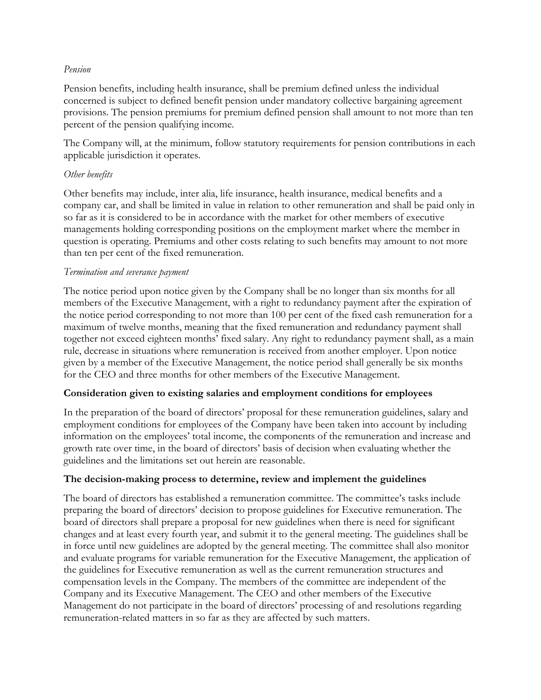#### *Pension*

Pension benefits, including health insurance, shall be premium defined unless the individual concerned is subject to defined benefit pension under mandatory collective bargaining agreement provisions. The pension premiums for premium defined pension shall amount to not more than ten percent of the pension qualifying income.

The Company will, at the minimum, follow statutory requirements for pension contributions in each applicable jurisdiction it operates.

## *Other benefits*

Other benefits may include, inter alia, life insurance, health insurance, medical benefits and a company car, and shall be limited in value in relation to other remuneration and shall be paid only in so far as it is considered to be in accordance with the market for other members of executive managements holding corresponding positions on the employment market where the member in question is operating. Premiums and other costs relating to such benefits may amount to not more than ten per cent of the fixed remuneration.

## *Termination and severance payment*

The notice period upon notice given by the Company shall be no longer than six months for all members of the Executive Management, with a right to redundancy payment after the expiration of the notice period corresponding to not more than 100 per cent of the fixed cash remuneration for a maximum of twelve months, meaning that the fixed remuneration and redundancy payment shall together not exceed eighteen months' fixed salary. Any right to redundancy payment shall, as a main rule, decrease in situations where remuneration is received from another employer. Upon notice given by a member of the Executive Management, the notice period shall generally be six months for the CEO and three months for other members of the Executive Management.

## **Consideration given to existing salaries and employment conditions for employees**

In the preparation of the board of directors' proposal for these remuneration guidelines, salary and employment conditions for employees of the Company have been taken into account by including information on the employees' total income, the components of the remuneration and increase and growth rate over time, in the board of directors' basis of decision when evaluating whether the guidelines and the limitations set out herein are reasonable.

## **The decision-making process to determine, review and implement the guidelines**

The board of directors has established a remuneration committee. The committee's tasks include preparing the board of directors' decision to propose guidelines for Executive remuneration. The board of directors shall prepare a proposal for new guidelines when there is need for significant changes and at least every fourth year, and submit it to the general meeting. The guidelines shall be in force until new guidelines are adopted by the general meeting. The committee shall also monitor and evaluate programs for variable remuneration for the Executive Management, the application of the guidelines for Executive remuneration as well as the current remuneration structures and compensation levels in the Company. The members of the committee are independent of the Company and its Executive Management. The CEO and other members of the Executive Management do not participate in the board of directors' processing of and resolutions regarding remuneration-related matters in so far as they are affected by such matters.